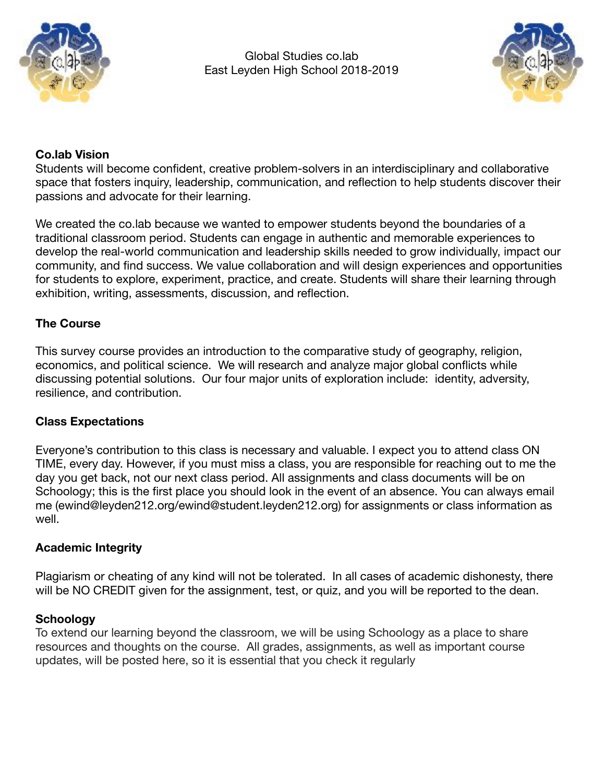

Global Studies co.lab East Leyden High School 2018-2019



#### **Co.lab Vision**

Students will become confident, creative problem-solvers in an interdisciplinary and collaborative space that fosters inquiry, leadership, communication, and reflection to help students discover their passions and advocate for their learning.

We created the co.lab because we wanted to empower students beyond the boundaries of a traditional classroom period. Students can engage in authentic and memorable experiences to develop the real-world communication and leadership skills needed to grow individually, impact our community, and find success. We value collaboration and will design experiences and opportunities for students to explore, experiment, practice, and create. Students will share their learning through exhibition, writing, assessments, discussion, and reflection.

### **The Course**

This survey course provides an introduction to the comparative study of geography, religion, economics, and political science. We will research and analyze major global conflicts while discussing potential solutions. Our four major units of exploration include: identity, adversity, resilience, and contribution.

#### **Class Expectations**

Everyone's contribution to this class is necessary and valuable. I expect you to attend class ON TIME, every day. However, if you must miss a class, you are responsible for reaching out to me the day you get back, not our next class period. All assignments and class documents will be on Schoology; this is the first place you should look in the event of an absence. You can always email me (ewind@leyden212.org/ewind@student.leyden212.org) for assignments or class information as well.

#### **Academic Integrity**

Plagiarism or cheating of any kind will not be tolerated. In all cases of academic dishonesty, there will be NO CREDIT given for the assignment, test, or quiz, and you will be reported to the dean.

## **Schoology**

To extend our learning beyond the classroom, we will be using Schoology as a place to share resources and thoughts on the course. All grades, assignments, as well as important course updates, will be posted here, so it is essential that you check it regularly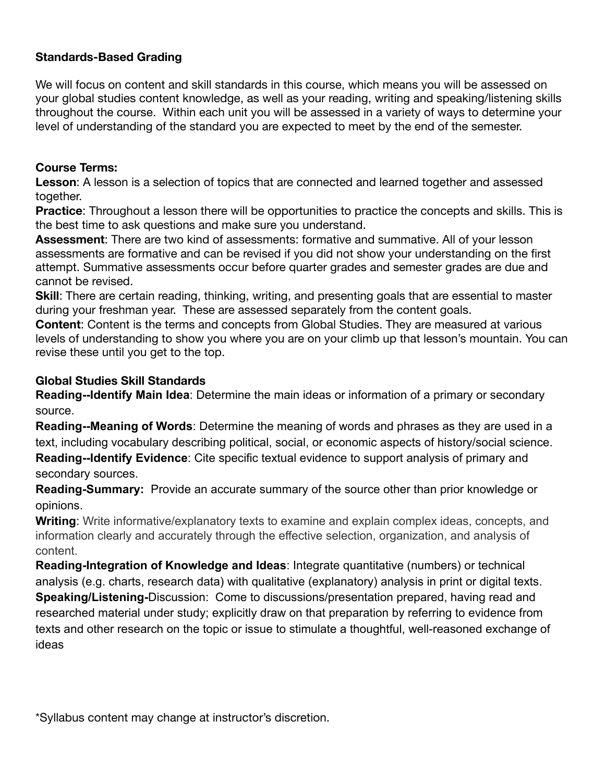## **Standards-Based Grading**

We will focus on content and skill standards in this course, which means you will be assessed on your global studies content knowledge, as well as your reading, writing and speaking/listening skills throughout the course. Within each unit you will be assessed in a variety of ways to determine your level of understanding of the standard you are expected to meet by the end of the semester.

#### **Course Terms:**

**Lesson**: A lesson is a selection of topics that are connected and learned together and assessed together.

**Practice**: Throughout a lesson there will be opportunities to practice the concepts and skills. This is the best time to ask questions and make sure you understand.

**Assessment**: There are two kind of assessments: formative and summative. All of your lesson assessments are formative and can be revised if you did not show your understanding on the first attempt. Summative assessments occur before quarter grades and semester grades are due and cannot be revised.

**Skill**: There are certain reading, thinking, writing, and presenting goals that are essential to master during your freshman year. These are assessed separately from the content goals.

**Content**: Content is the terms and concepts from Global Studies. They are measured at various levels of understanding to show you where you are on your climb up that lesson's mountain. You can revise these until you get to the top.

## **Global Studies Skill Standards**

**Reading--Identify Main Idea**: Determine the main ideas or information of a primary or secondary source.

**Reading--Meaning of Words**: Determine the meaning of words and phrases as they are used in a text, including vocabulary describing political, social, or economic aspects of history/social science. **Reading--Identify Evidence**: Cite specific textual evidence to support analysis of primary and secondary sources.

**Reading-Summary:** Provide an accurate summary of the source other than prior knowledge or opinions.

**Writing**: Write informative/explanatory texts to examine and explain complex ideas, concepts, and information clearly and accurately through the effective selection, organization, and analysis of content.

**Reading-Integration of Knowledge and Ideas**: Integrate quantitative (numbers) or technical analysis (e.g. charts, research data) with qualitative (explanatory) analysis in print or digital texts. **Speaking/Listening-**Discussion: Come to discussions/presentation prepared, having read and researched material under study; explicitly draw on that preparation by referring to evidence from texts and other research on the topic or issue to stimulate a thoughtful, well-reasoned exchange of ideas

\*Syllabus content may change at instructor's discretion.